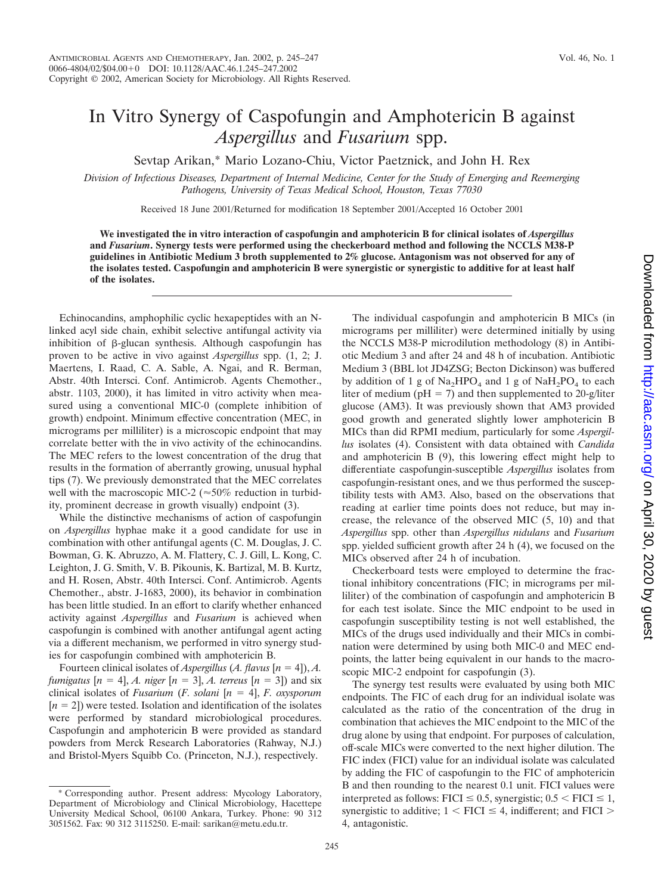## In Vitro Synergy of Caspofungin and Amphotericin B against *Aspergillus* and *Fusarium* spp.

Sevtap Arikan,\* Mario Lozano-Chiu, Victor Paetznick, and John H. Rex

*Division of Infectious Diseases, Department of Internal Medicine, Center for the Study of Emerging and Reemerging Pathogens, University of Texas Medical School, Houston, Texas 77030*

Received 18 June 2001/Returned for modification 18 September 2001/Accepted 16 October 2001

**We investigated the in vitro interaction of caspofungin and amphotericin B for clinical isolates of** *Aspergillus* **and** *Fusarium***. Synergy tests were performed using the checkerboard method and following the NCCLS M38-P guidelines in Antibiotic Medium 3 broth supplemented to 2% glucose. Antagonism was not observed for any of the isolates tested. Caspofungin and amphotericin B were synergistic or synergistic to additive for at least half of the isolates.**

Echinocandins, amphophilic cyclic hexapeptides with an Nlinked acyl side chain, exhibit selective antifungal activity via inhibition of  $\beta$ -glucan synthesis. Although caspofungin has proven to be active in vivo against *Aspergillus* spp. (1, 2; J. Maertens, I. Raad, C. A. Sable, A. Ngai, and R. Berman, Abstr. 40th Intersci. Conf. Antimicrob. Agents Chemother., abstr. 1103, 2000), it has limited in vitro activity when measured using a conventional MIC-0 (complete inhibition of growth) endpoint. Minimum effective concentration (MEC, in micrograms per milliliter) is a microscopic endpoint that may correlate better with the in vivo activity of the echinocandins. The MEC refers to the lowest concentration of the drug that results in the formation of aberrantly growing, unusual hyphal tips (7). We previously demonstrated that the MEC correlates well with the macroscopic MIC-2 ( $\approx$  50% reduction in turbidity, prominent decrease in growth visually) endpoint (3).

While the distinctive mechanisms of action of caspofungin on *Aspergillus* hyphae make it a good candidate for use in combination with other antifungal agents (C. M. Douglas, J. C. Bowman, G. K. Abruzzo, A. M. Flattery, C. J. Gill, L. Kong, C. Leighton, J. G. Smith, V. B. Pikounis, K. Bartizal, M. B. Kurtz, and H. Rosen, Abstr. 40th Intersci. Conf. Antimicrob. Agents Chemother., abstr. J-1683, 2000), its behavior in combination has been little studied. In an effort to clarify whether enhanced activity against *Aspergillus* and *Fusarium* is achieved when caspofungin is combined with another antifungal agent acting via a different mechanism, we performed in vitro synergy studies for caspofungin combined with amphotericin B.

Fourteen clinical isolates of *Aspergillus* (*A. flavus*  $[n = 4]$ ), *A. fumigatus*  $[n = 4]$ , *A. niger*  $[n = 3]$ , *A. terreus*  $[n = 3]$  and six clinical isolates of *Fusarium* (*F. solani*  $[n = 4]$ , *F. oxysporum*  $[n = 2]$ ) were tested. Isolation and identification of the isolates were performed by standard microbiological procedures. Caspofungin and amphotericin B were provided as standard powders from Merck Research Laboratories (Rahway, N.J.) and Bristol-Myers Squibb Co. (Princeton, N.J.), respectively.

The individual caspofungin and amphotericin B MICs (in micrograms per milliliter) were determined initially by using the NCCLS M38-P microdilution methodology (8) in Antibiotic Medium 3 and after 24 and 48 h of incubation. Antibiotic Medium 3 (BBL lot JD4ZSG; Becton Dickinson) was buffered by addition of 1 g of  $Na<sub>2</sub>HPO<sub>4</sub>$  and 1 g of  $NaH<sub>2</sub>PO<sub>4</sub>$  to each liter of medium ( $pH = 7$ ) and then supplemented to 20-g/liter glucose (AM3). It was previously shown that AM3 provided good growth and generated slightly lower amphotericin B MICs than did RPMI medium, particularly for some *Aspergillus* isolates (4). Consistent with data obtained with *Candida* and amphotericin B (9), this lowering effect might help to differentiate caspofungin-susceptible *Aspergillus* isolates from caspofungin-resistant ones, and we thus performed the susceptibility tests with AM3. Also, based on the observations that reading at earlier time points does not reduce, but may increase, the relevance of the observed MIC (5, 10) and that *Aspergillus* spp. other than *Aspergillus nidulans* and *Fusarium* spp. yielded sufficient growth after 24 h (4), we focused on the MICs observed after 24 h of incubation.

Checkerboard tests were employed to determine the fractional inhibitory concentrations (FIC; in micrograms per milliliter) of the combination of caspofungin and amphotericin B for each test isolate. Since the MIC endpoint to be used in caspofungin susceptibility testing is not well established, the MICs of the drugs used individually and their MICs in combination were determined by using both MIC-0 and MEC endpoints, the latter being equivalent in our hands to the macroscopic MIC-2 endpoint for caspofungin  $(3)$ .

The synergy test results were evaluated by using both MIC endpoints. The FIC of each drug for an individual isolate was calculated as the ratio of the concentration of the drug in combination that achieves the MIC endpoint to the MIC of the drug alone by using that endpoint. For purposes of calculation, off-scale MICs were converted to the next higher dilution. The FIC index (FICI) value for an individual isolate was calculated by adding the FIC of caspofungin to the FIC of amphotericin B and then rounding to the nearest 0.1 unit. FICI values were interpreted as follows: FICI  $\leq$  0.5, synergistic; 0.5  $\leq$  FICI  $\leq$  1, synergistic to additive;  $1 < FICI \leq 4$ , indifferent; and  $FICI$ 4, antagonistic.

<sup>\*</sup> Corresponding author. Present address: Mycology Laboratory, Department of Microbiology and Clinical Microbiology, Hacettepe University Medical School, 06100 Ankara, Turkey. Phone: 90 312 3051562. Fax: 90 312 3115250. E-mail: sarikan@metu.edu.tr.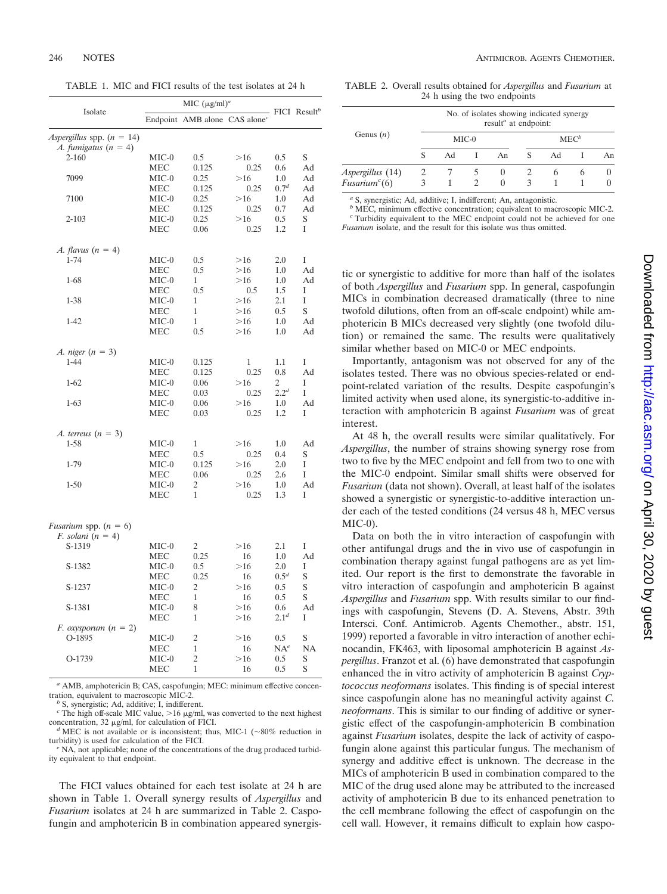TABLE 1. MIC and FICI results of the test isolates at 24 h

|                                                              | MIC $(\mu g/ml)^a$ |                                           |      |                  |                            |  |
|--------------------------------------------------------------|--------------------|-------------------------------------------|------|------------------|----------------------------|--|
| Isolate                                                      |                    | Endpoint AMB alone CAS alone <sup>c</sup> |      |                  | $FICI$ Result <sup>b</sup> |  |
| <i>Aspergillus</i> spp. $(n = 14)$                           |                    |                                           |      |                  |                            |  |
| A. fumigatus $(n = 4)$                                       |                    |                                           |      |                  |                            |  |
| $2 - 160$                                                    | $MIC-0$            | 0.5                                       | >16  | 0.5              | S                          |  |
|                                                              | MEC                | 0.125                                     | 0.25 | 0.6              | Ad                         |  |
| 7099                                                         | $MIC-0$            | 0.25                                      | >16  | 1.0              | Ad                         |  |
|                                                              | MEC                | 0.125                                     | 0.25 | 0.7 <sup>d</sup> | Ad                         |  |
| 7100                                                         | $MIC-0$            | 0.25                                      | >16  | 1.0              | Ad                         |  |
|                                                              | <b>MEC</b>         | 0.125                                     | 0.25 | 0.7              | Ad                         |  |
| $2 - 103$                                                    | MIC-0              | 0.25                                      | >16  | 0.5              | S                          |  |
|                                                              | <b>MEC</b>         | 0.06                                      | 0.25 | 1.2              | I                          |  |
| A. flavus $(n = 4)$                                          |                    |                                           |      |                  |                            |  |
| $1 - 74$                                                     | $MIC-0$            | 0.5                                       | >16  | 2.0              | I                          |  |
|                                                              | MEC                | 0.5                                       | >16  | 1.0              | Ad                         |  |
| $1 - 68$                                                     | $MIC-0$            | 1                                         | >16  | 1.0              | Ad                         |  |
|                                                              | <b>MEC</b>         | 0.5                                       | 0.5  | 1.5              | I                          |  |
| 1-38                                                         | MIC-0              | 1                                         | >16  | 2.1              | Ī                          |  |
|                                                              | MEC                | 1                                         | >16  | 0.5              | S                          |  |
| $1 - 42$                                                     | $MIC-0$            | 1                                         | >16  | 1.0              | Ad                         |  |
|                                                              | <b>MEC</b>         | 0.5                                       | >16  | 1.0              | Ad                         |  |
| A. niger $(n = 3)$                                           |                    |                                           |      |                  |                            |  |
| $1 - 44$                                                     | MIC-0              | 0.125                                     | 1    | 1.1              | Ī                          |  |
|                                                              | MEC                | 0.125                                     | 0.25 | 0.8              | Ad                         |  |
| $1 - 62$                                                     | $MIC-0$            | 0.06                                      | >16  | 2                | I                          |  |
|                                                              | <b>MEC</b>         | 0.03                                      | 0.25 | $2.2^{d}$        | I                          |  |
| $1 - 63$                                                     | MIC-0              | 0.06                                      | >16  | 1.0              | Ad                         |  |
|                                                              | MEC                | 0.03                                      | 0.25 | 1.2              | I                          |  |
| A. terreus $(n = 3)$                                         |                    |                                           |      |                  |                            |  |
| 1-58                                                         | MIC-0              | 1                                         | >16  | 1.0              | Ad                         |  |
|                                                              | MEC                | 0.5                                       | 0.25 | 0.4              | S                          |  |
| 1-79                                                         | $MIC-0$            | 0.125                                     | >16  | 2.0              | I                          |  |
|                                                              | <b>MEC</b>         | 0.06                                      | 0.25 | 2.6              | I                          |  |
| $1 - 50$                                                     | $MIC-0$            | 2                                         | >16  | 1.0              | Ad                         |  |
|                                                              | <b>MEC</b>         | 1                                         | 0.25 | 1.3              | Ī                          |  |
|                                                              |                    |                                           |      |                  |                            |  |
| <i>Fusarium</i> spp. $(n = 6)$<br><i>F.</i> solani $(n = 4)$ |                    |                                           |      |                  |                            |  |
| S-1319                                                       | $MIC-0$            | 2                                         | >16  | 2.1              | I                          |  |
|                                                              | MEC                | 0.25                                      | 16   | 1.0              | Ad                         |  |
| S-1382                                                       | $MIC-0$            | 0.5                                       | >16  | 2.0              | I                          |  |
|                                                              | <b>MEC</b>         | 0.25                                      | 16   | $0.5^{d}$        | S                          |  |
| S-1237                                                       | MIC-0              | $\overline{c}$                            | >16  | 0.5              | S                          |  |
|                                                              | MEC                | 1                                         | 16   | 0.5              | S                          |  |
| S-1381                                                       | $MIC-0$            | 8                                         | >16  | 0.6              | Ad                         |  |
|                                                              | MEC                | 1                                         | >16  | 2.1 <sup>d</sup> | I                          |  |
|                                                              |                    |                                           |      |                  |                            |  |
| <i>F.</i> oxysporum $(n = 2)$<br>O-1895                      | MIC-0              | 2                                         | >16  | 0.5              | S                          |  |
|                                                              | <b>MEC</b>         | 1                                         | 16   | $NA^e$           | <b>NA</b>                  |  |
|                                                              |                    | $\overline{c}$                            | >16  |                  | S                          |  |
| O-1739                                                       | $MIC-0$            |                                           |      | 0.5              |                            |  |
|                                                              | <b>MEC</b>         | 1                                         | 16   | 0.5              | S                          |  |

<sup>a</sup> AMB, amphotericin B; CAS, caspofungin; MEC: minimum effective concentration, equivalent to macroscopic MIC-2.

' S, synergistic; Ad, additive; I, indifferent.

 $c$  The high off-scale MIC value,  $>$ 16  $\mu$ g/ml, was converted to the next highest concentration, 32  $\mu$ g/ml, for calculation of FICI.<br><sup>*d*</sup> MEC is not available or is inconsistent; thus, MIC-1 (~80% reduction in

turbidity) is used for calculation of the FICI.<br><sup>*e*</sup> NA, not applicable; none of the concentrations of the drug produced turbid-

ity equivalent to that endpoint.

The FICI values obtained for each test isolate at 24 h are shown in Table 1. Overall synergy results of *Aspergillus* and *Fusarium* isolates at 24 h are summarized in Table 2. Caspofungin and amphotericin B in combination appeared synergis-

TABLE 2. Overall results obtained for *Aspergillus* and *Fusarium* at 24 h using the two endpoints

| Genus $(n)$                                 | No. of isolates showing indicated synergy<br>result <sup>a</sup> at endpoint: |         |  |                      |                        |         |   |    |  |  |
|---------------------------------------------|-------------------------------------------------------------------------------|---------|--|----------------------|------------------------|---------|---|----|--|--|
|                                             |                                                                               | $MIC-0$ |  |                      |                        | $MEC^b$ |   |    |  |  |
|                                             |                                                                               | Ad      |  | An                   | S                      | Ad      |   | An |  |  |
| <i>Aspergillus</i> (14)<br>Fusarium $^c(6)$ |                                                                               |         |  | $\theta$<br>$\Omega$ | $\mathbf{\mathcal{R}}$ |         | h |    |  |  |

*<sup>a</sup>* S, synergistic; Ad, additive; I, indifferent; An, antagonistic.

*b* MEC, minimum effective concentration; equivalent to macroscopic MIC-2. *<sup>c</sup>* Turbidity equivalent to the MEC endpoint could not be achieved for one *Fusarium* isolate, and the result for this isolate was thus omitted.

tic or synergistic to additive for more than half of the isolates of both *Aspergillus* and *Fusarium* spp. In general, caspofungin MICs in combination decreased dramatically (three to nine twofold dilutions, often from an off-scale endpoint) while amphotericin B MICs decreased very slightly (one twofold dilution) or remained the same. The results were qualitatively similar whether based on MIC-0 or MEC endpoints.

Importantly, antagonism was not observed for any of the isolates tested. There was no obvious species-related or endpoint-related variation of the results. Despite caspofungin's limited activity when used alone, its synergistic-to-additive interaction with amphotericin B against *Fusarium* was of great interest.

At 48 h, the overall results were similar qualitatively. For *Aspergillus*, the number of strains showing synergy rose from two to five by the MEC endpoint and fell from two to one with the MIC-0 endpoint. Similar small shifts were observed for *Fusarium* (data not shown). Overall, at least half of the isolates showed a synergistic or synergistic-to-additive interaction under each of the tested conditions (24 versus 48 h, MEC versus MIC-0).

Data on both the in vitro interaction of caspofungin with other antifungal drugs and the in vivo use of caspofungin in combination therapy against fungal pathogens are as yet limited. Our report is the first to demonstrate the favorable in vitro interaction of caspofungin and amphotericin B against *Aspergillus* and *Fusarium* spp. With results similar to our findings with caspofungin, Stevens (D. A. Stevens, Abstr. 39th Intersci. Conf. Antimicrob. Agents Chemother., abstr. 151, 1999) reported a favorable in vitro interaction of another echinocandin, FK463, with liposomal amphotericin B against *Aspergillus*. Franzot et al. (6) have demonstrated that caspofungin enhanced the in vitro activity of amphotericin B against *Cryptococcus neoformans* isolates. This finding is of special interest since caspofungin alone has no meaningful activity against *C. neoformans*. This is similar to our finding of additive or synergistic effect of the caspofungin-amphotericin B combination against *Fusarium* isolates, despite the lack of activity of caspofungin alone against this particular fungus. The mechanism of synergy and additive effect is unknown. The decrease in the MICs of amphotericin B used in combination compared to the MIC of the drug used alone may be attributed to the increased activity of amphotericin B due to its enhanced penetration to the cell membrane following the effect of caspofungin on the cell wall. However, it remains difficult to explain how caspo